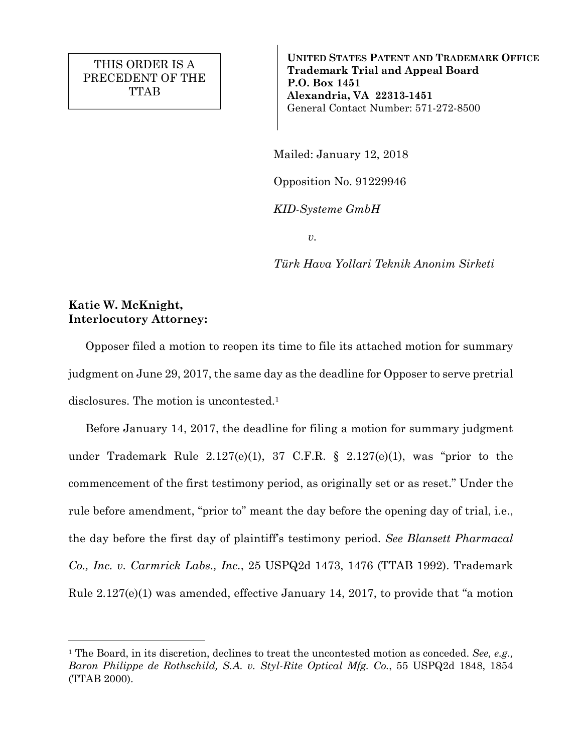**UNITED STATES PATENT AND TRADEMARK OFFICE Trademark Trial and Appeal Board P.O. Box 1451 Alexandria, VA 22313-1451**  General Contact Number: 571-272-8500

Mailed: January 12, 2018

Opposition No. 91229946

*KID-Systeme GmbH* 

 $v<sub>r</sub>$ 

*Türk Hava Yollari Teknik Anonim Sirketi* 

## **Katie W. McKnight, Interlocutory Attorney:**

a<br>B

Opposer filed a motion to reopen its time to file its attached motion for summary judgment on June 29, 2017, the same day as the deadline for Opposer to serve pretrial disclosures. The motion is uncontested.1

Before January 14, 2017, the deadline for filing a motion for summary judgment under Trademark Rule  $2.127(e)(1)$ , 37 C.F.R. §  $2.127(e)(1)$ , was "prior to the commencement of the first testimony period, as originally set or as reset." Under the rule before amendment, "prior to" meant the day before the opening day of trial, i.e., the day before the first day of plaintiff's testimony period. *See Blansett Pharmacal Co., Inc. v. Carmrick Labs., Inc.*, 25 USPQ2d 1473, 1476 (TTAB 1992). Trademark Rule 2.127(e)(1) was amended, effective January 14, 2017, to provide that "a motion

<sup>1</sup> The Board, in its discretion, declines to treat the uncontested motion as conceded. *See, e.g., Baron Philippe de Rothschild, S.A. v. Styl-Rite Optical Mfg. Co.*, 55 USPQ2d 1848, 1854 (TTAB 2000).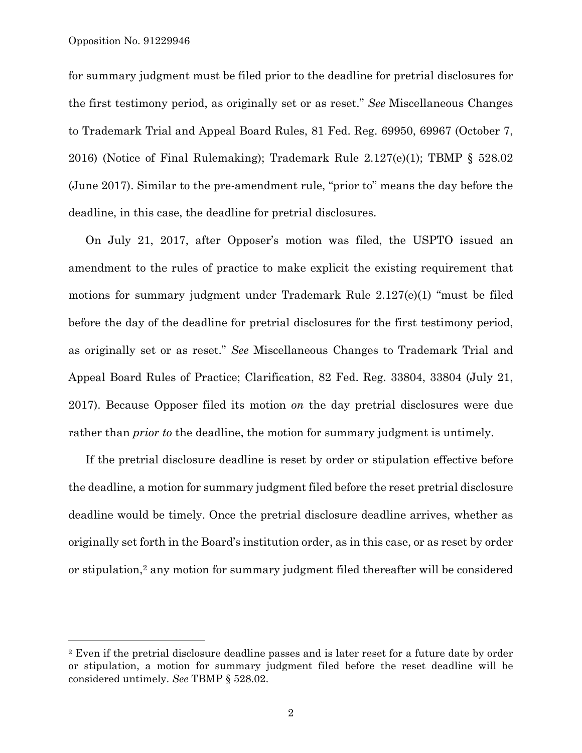a<br>B

for summary judgment must be filed prior to the deadline for pretrial disclosures for the first testimony period, as originally set or as reset." *See* Miscellaneous Changes to Trademark Trial and Appeal Board Rules, 81 Fed. Reg. 69950, 69967 (October 7, 2016) (Notice of Final Rulemaking); Trademark Rule 2.127(e)(1); TBMP § 528.02 (June 2017). Similar to the pre-amendment rule, "prior to" means the day before the deadline, in this case, the deadline for pretrial disclosures.

On July 21, 2017, after Opposer's motion was filed, the USPTO issued an amendment to the rules of practice to make explicit the existing requirement that motions for summary judgment under Trademark Rule 2.127(e)(1) "must be filed before the day of the deadline for pretrial disclosures for the first testimony period, as originally set or as reset." *See* Miscellaneous Changes to Trademark Trial and Appeal Board Rules of Practice; Clarification, 82 Fed. Reg. 33804, 33804 (July 21, 2017). Because Opposer filed its motion *on* the day pretrial disclosures were due rather than *prior to* the deadline, the motion for summary judgment is untimely.

If the pretrial disclosure deadline is reset by order or stipulation effective before the deadline, a motion for summary judgment filed before the reset pretrial disclosure deadline would be timely. Once the pretrial disclosure deadline arrives, whether as originally set forth in the Board's institution order, as in this case, or as reset by order or stipulation,2 any motion for summary judgment filed thereafter will be considered

<sup>2</sup> Even if the pretrial disclosure deadline passes and is later reset for a future date by order or stipulation, a motion for summary judgment filed before the reset deadline will be considered untimely. *See* TBMP § 528.02.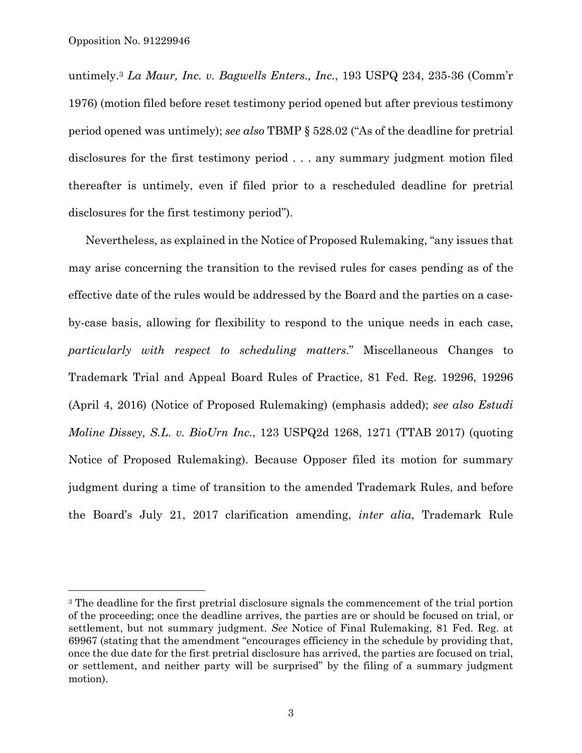a<br>B

untimely.3 *La Maur, Inc. v. Bagwells Enters., Inc.*, 193 USPQ 234, 235-36 (Comm'r 1976) (motion filed before reset testimony period opened but after previous testimony period opened was untimely); *see also* TBMP § 528.02 ("As of the deadline for pretrial disclosures for the first testimony period . . . any summary judgment motion filed thereafter is untimely, even if filed prior to a rescheduled deadline for pretrial disclosures for the first testimony period").

Nevertheless, as explained in the Notice of Proposed Rulemaking, "any issues that may arise concerning the transition to the revised rules for cases pending as of the effective date of the rules would be addressed by the Board and the parties on a caseby-case basis, allowing for flexibility to respond to the unique needs in each case, *particularly with respect to scheduling matters*." Miscellaneous Changes to Trademark Trial and Appeal Board Rules of Practice, 81 Fed. Reg. 19296, 19296 (April 4, 2016) (Notice of Proposed Rulemaking) (emphasis added); *see also Estudi Moline Dissey, S.L. v. BioUrn Inc.*, 123 USPQ2d 1268, 1271 (TTAB 2017) (quoting Notice of Proposed Rulemaking). Because Opposer filed its motion for summary judgment during a time of transition to the amended Trademark Rules, and before the Board's July 21, 2017 clarification amending, *inter alia*, Trademark Rule

<sup>&</sup>lt;sup>3</sup> The deadline for the first pretrial disclosure signals the commencement of the trial portion of the proceeding; once the deadline arrives, the parties are or should be focused on trial, or settlement, but not summary judgment. *See* Notice of Final Rulemaking, 81 Fed. Reg. at 69967 (stating that the amendment "encourages efficiency in the schedule by providing that, once the due date for the first pretrial disclosure has arrived, the parties are focused on trial, or settlement, and neither party will be surprised" by the filing of a summary judgment motion).